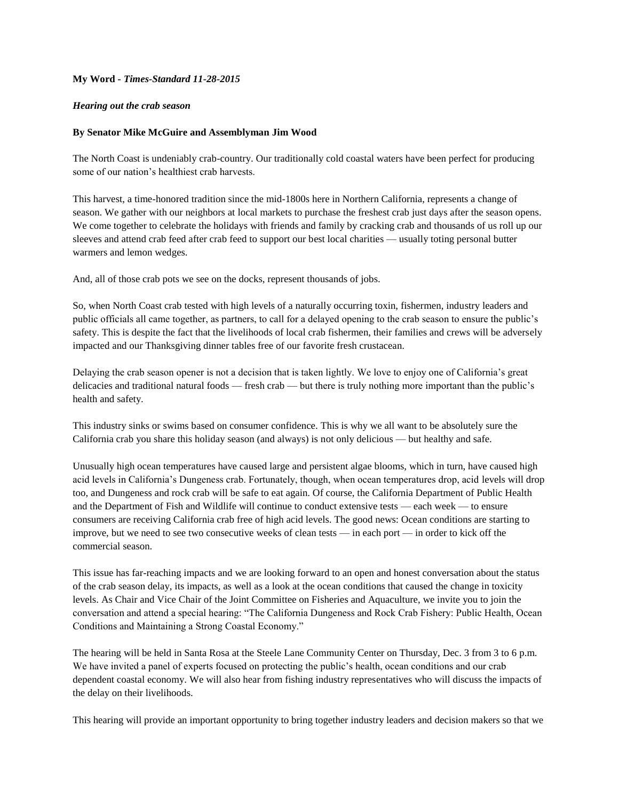## **My Word** *- Times-Standard 11-28-2015*

## *Hearing out the crab season*

## **By Senator Mike McGuire and Assemblyman Jim Wood**

The North Coast is undeniably crab-country. Our traditionally cold coastal waters have been perfect for producing some of our nation's healthiest crab harvests.

This harvest, a time-honored tradition since the mid-1800s here in Northern California, represents a change of season. We gather with our neighbors at local markets to purchase the freshest crab just days after the season opens. We come together to celebrate the holidays with friends and family by cracking crab and thousands of us roll up our sleeves and attend crab feed after crab feed to support our best local charities — usually toting personal butter warmers and lemon wedges.

And, all of those crab pots we see on the docks, represent thousands of jobs.

So, when North Coast crab tested with high levels of a naturally occurring toxin, fishermen, industry leaders and public officials all came together, as partners, to call for a delayed opening to the crab season to ensure the public's safety. This is despite the fact that the livelihoods of local crab fishermen, their families and crews will be adversely impacted and our Thanksgiving dinner tables free of our favorite fresh crustacean.

Delaying the crab season opener is not a decision that is taken lightly. We love to enjoy one of California's great delicacies and traditional natural foods — fresh crab — but there is truly nothing more important than the public's health and safety.

This industry sinks or swims based on consumer confidence. This is why we all want to be absolutely sure the California crab you share this holiday season (and always) is not only delicious — but healthy and safe.

Unusually high ocean temperatures have caused large and persistent algae blooms, which in turn, have caused high acid levels in California's Dungeness crab. Fortunately, though, when ocean temperatures drop, acid levels will drop too, and Dungeness and rock crab will be safe to eat again. Of course, the California Department of Public Health and the Department of Fish and Wildlife will continue to conduct extensive tests — each week — to ensure consumers are receiving California crab free of high acid levels. The good news: Ocean conditions are starting to improve, but we need to see two consecutive weeks of clean tests — in each port — in order to kick off the commercial season.

This issue has far-reaching impacts and we are looking forward to an open and honest conversation about the status of the crab season delay, its impacts, as well as a look at the ocean conditions that caused the change in toxicity levels. As Chair and Vice Chair of the Joint Committee on Fisheries and Aquaculture, we invite you to join the conversation and attend a special hearing: "The California Dungeness and Rock Crab Fishery: Public Health, Ocean Conditions and Maintaining a Strong Coastal Economy."

The hearing will be held in Santa Rosa at the Steele Lane Community Center on Thursday, Dec. 3 from 3 to 6 p.m. We have invited a panel of experts focused on protecting the public's health, ocean conditions and our crab dependent coastal economy. We will also hear from fishing industry representatives who will discuss the impacts of the delay on their livelihoods.

This hearing will provide an important opportunity to bring together industry leaders and decision makers so that we